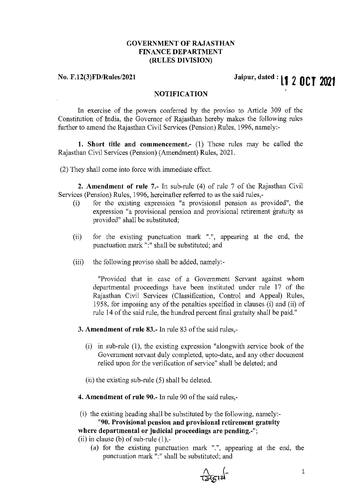# GOVERNMENT OF RAJASTHAN FINANCE DEPARTMENT (RULES DIVISION)

## No. F.12(3)FD/Rules/2021

# Jaipur, dated: **l1 2OCT <sup>2021</sup>**

## NOTIFICATION

In exercise of the powers conferred by the proviso to Article 309 of the Constitution of India, the Governor of Rajasthan hereby makes the following rules further to amend the Rajasthan Civil Services (Pension) Rules, 1996, namely:-

1. Short title and commencement.- (1) These rules may be called the Rajasthan Civil Services (Pension) (Amendment) Rules, 2021.

(2) They shall come into force with immediate effect.

2. Amendment of rule 7.- In sub-rule (4) of rule 7 of the Rajasthan Civil Services (Pension) Rules, 1996, hereinafter referred to as the said rules,-

- (i) for the existing expression "a provisional pension as provided", the expression "a provisional pension and provisional retirement gratuity as provided" shall be substituted;
- (ii) for the existing punctuation mark ".", appearing at the end, the punctuation mark ":" shall be substituted; and
- (iii) the following proviso shall be added, namely:-

"Provided that in case of a Government Servant against whom departmental proceedings have been instituted under rule 17 of the Rajasthan Civil Services (Classification, Control and Appeal) Rules, 1958, for imposing any of the penalties specified in clauses (i) and (ii) of rule 14 of the said rule, the hundred percent final gratuity shall be paid."

- 3. Amendment of rule 83.- In rule 83 of the said rules,-
	- (i) in sub-rule (1), the existing expression "alongwith service book of the Government servant duly completed, upto-date, and any other document relied upon for the verification of service" shall be deleted; and
	- (ii) the existing sub-rule (5) shall be deleted.
- 4. Amendment of rule 90.- In rule 90 of the said rules,-

(i) the existing heading shall be substituted by the following, namely:- "90. Provisional pension and provisional retirement gratuity

where departmental or judicial proceedings are pending.-"; (ii) in clause (b) of sub-rule  $(1)$ ,-

(a) for the existing punctuation mark ".", appearing at the end, the punctuation mark ":" shall be substituted; and

 $\frac{\Lambda}{\Lambda}$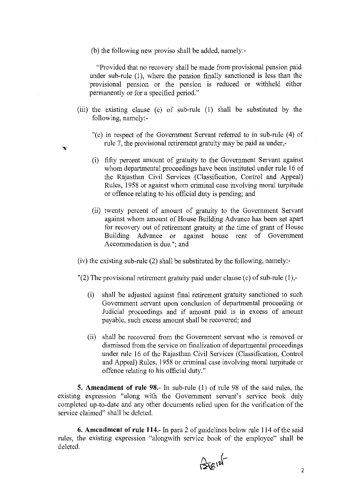(b) the following new proviso shall be added, namely:-

"Provided that no recovery shall be made from provisional pension paid under sub-rule (I), where the pension finally sanctioned is less than the provisional pension or the pension is reduced or withheld either permanently or for a specified period."

- (iii) the existing clause (c) of sub-rule (I) shall be substituted by the following, namely:-
	- "(c) in respect of the Government Servant referred to in sub-rule (4) of rule 7, the provisional retirement gratuity may be paid as under,-
	- (i) fifty percent amount of gratuity to the Government Servant against whom departmental proceedings have been instituted under rule 16 of the Rajasthan Civil Services (Classification, Control and Appeal) Rules, 1958 or against whom criminal case involving moral turpitude or offence relating to his official duty is pending; and
	- (ii) twenty percent of amount of gratuity to the Government Servant against whom amount of House Building Advance has been set apart for recovery out of retirement gratuity at the time of grant of House Building Advance or against house rent of Government Accommodation is due."; and
- (iv) the existing sub-rule (2) shall be substituted by the following, namely:-
- $'(2)$  The provisional retirement gratuity paid under clause (c) of sub-rule (1),-
	- (i) shall be adjusted against final retirement gratuity sanctioned to such Government servant upon conclusion of departmental proceeding or Judicial proceedings and if amount paid is in excess of amount payable, such excess amount shall be recovered; and
	- (ii) shall be recovered from the Government servant who is removed or dismissed from the service on finalization of departmental proceedings under rule 16 of the Rajasthan Civil Services (Classification, Control and Appeal) Rules, 1958 Or criminal case involving moral turpitude or offence relating to his official duty."

**5. Amendment of rule 98.-** In sub-rule (l) of rule 98 of the said rules, the existing expression "along with the Government servant's service book duly completed up-to-date and any other documents relied upon for the verification of the service claimed" shall be deleted.

**6. Amendment of rule 114.-** In para 2 of guidelines below rule 114 ofthe said rules, the existing expression "alongwith service book of the employee" shall be deleted.

 $25512$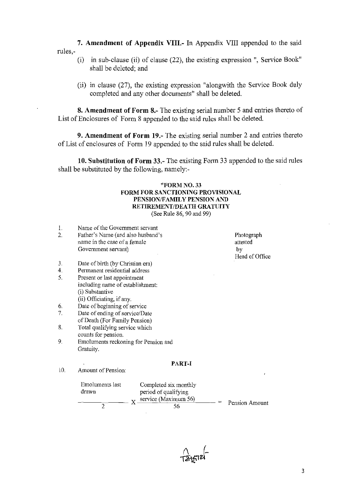7. Amendment of Appendix VIII.- In Appendix VIII appended to the said rules,-

- (i) in sub-clause (ii) of clause (22), the existing expression ", Service Book" shall be deleted; and
- (ii) in clause (27), the existing expression "alongwith the Service Book duly completed and any other documents" shall be deleted.

8. Amendment of Form 8.- The existing serial number 5 and entries thereto of List of Enclosures of Form 8 appended to the said rules shall be deleted.

9. Amendment of Form 19.- The existing serial number 2 and entries thereto ofList of enclosures of Form 19 appended to the said rules shall be deleted.

10. Substitution of Form 33.- The existing Form 33 appended to the said rules shall be substituted by the following, namely:-

# "FORM NO. 33 FORM FOR SANCTIONING PROVISIONAL PENSION/FAMILY PENSION AND RETIREMENT/DEATH GRATUITY

(See Rule 86, 90 and 99)

1. 2. Name of the Government servant Father's Name (and also husband's name in the case of a female Government servant)

Photograph attested by Head of Office

- 3. Date of birth (by Christian era)
- 4. Permanent residential address
- 5. Present or last appointment including name of establishment: (i) Substantive (ii) Officiating, if any.
- 6. Date of beginning of service
- 7. Date of ending of service/Date of Death (For Family Pension)
- 8. Total qualifying service which counts for pension.
- 9. Emoluments reckoning for Pension and Gratuity.

#### PART-I

- 10. Amount of Pension:
	- Emoluments last Completed six monthly drawn period of qualifying drawn period of qualifying<br> $\frac{\text{period of } \text{quality}}{X \times \text{service } (\text{Maximum } 56)}$  $=$   $=$ Pension Amount 2  $\sim$  56

 $\int \frac{1}{2}$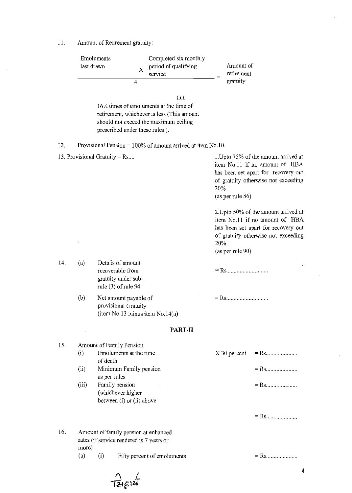II. Amount of Retirement gratuity:

|     | Emoluments<br>last drawn |                                                                                                                            | Completed six monthly<br>period of qualifying<br>$\bf{X}$<br>service                                                                                   |                         | Amount of<br>retirement<br>gratuity                                                                                                                  |  |
|-----|--------------------------|----------------------------------------------------------------------------------------------------------------------------|--------------------------------------------------------------------------------------------------------------------------------------------------------|-------------------------|------------------------------------------------------------------------------------------------------------------------------------------------------|--|
|     |                          | 4                                                                                                                          |                                                                                                                                                        |                         |                                                                                                                                                      |  |
|     |                          | prescribed under these rules.).                                                                                            | <b>OR</b><br>$16\frac{1}{2}$ times of emoluments at the time of<br>retirement, whichever is less (This amount<br>should not exceed the maximum ceiling |                         |                                                                                                                                                      |  |
| 12. |                          |                                                                                                                            | Provisional Pension = $100\%$ of amount arrived at item No.10.                                                                                         |                         |                                                                                                                                                      |  |
|     |                          | 13. Provisional Gratuity = $Rs$                                                                                            |                                                                                                                                                        | 20%<br>(as per rule 86) | 1. Upto 75% of the amount arrived at<br>item No.11 if no amount of HBA<br>has been set apart for recovery out<br>of gratuity otherwise not exceeding |  |
|     | ٠,                       |                                                                                                                            |                                                                                                                                                        | 20%<br>(as per rule 90) | 2. Upto 50% of the amount arrived at<br>item No.11 if no amount of HBA<br>has been set apart for recovery out<br>of gratuity otherwise not exceeding |  |
| 14. | (a)                      | Details of amount<br>recoverable from<br>gratuity under sub-<br>rule $(3)$ of rule 94                                      |                                                                                                                                                        |                         |                                                                                                                                                      |  |
|     | (b)                      | Net amount payable of<br>provisional Gratuity                                                                              | (item No.13 minus item No.14(a)                                                                                                                        | $=$ Rs                  |                                                                                                                                                      |  |
|     |                          |                                                                                                                            | <b>PART-II</b>                                                                                                                                         |                         |                                                                                                                                                      |  |
| 15. | (i)<br>(ii)<br>(iii)     | Amount of Family Pension<br>Emoluments at the time<br>of death<br>Minimum Family pension<br>as per rules<br>Family pension |                                                                                                                                                        | X 30 percent            |                                                                                                                                                      |  |
|     |                          | (whichever higher<br>between (i) or (ii) above                                                                             |                                                                                                                                                        |                         |                                                                                                                                                      |  |
| 16. | more)                    | Amount of family pension at enhanced<br>rates (if service rendered is 7 years or                                           |                                                                                                                                                        |                         |                                                                                                                                                      |  |
|     | (a)                      | (i)                                                                                                                        | Fifty percent of emoluments                                                                                                                            |                         | $=$ Rs                                                                                                                                               |  |
|     |                          |                                                                                                                            |                                                                                                                                                        |                         |                                                                                                                                                      |  |

 $\frac{1}{1246}$ 12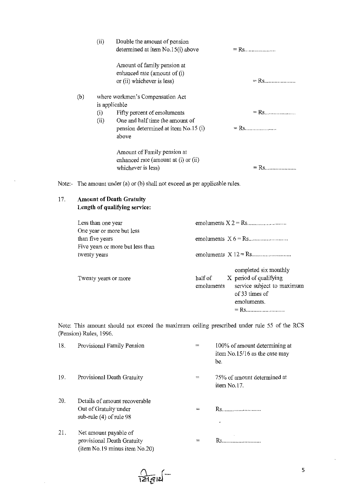|     | (ii)                             | Double the amount of pension         |  |  |  |
|-----|----------------------------------|--------------------------------------|--|--|--|
|     |                                  | determined at item No.15(i) above    |  |  |  |
|     |                                  | Amount of family pension at          |  |  |  |
|     |                                  | enhanced rate (amount of (i)         |  |  |  |
|     |                                  | or (ii) whichever is less)           |  |  |  |
| (b) | where workmen's Compensation Act |                                      |  |  |  |
|     |                                  | is applicable                        |  |  |  |
|     | (i)                              | Fifty percent of emoluments          |  |  |  |
|     | (ii)                             | One and half time the amount of      |  |  |  |
|     |                                  | pension determined at item No.15 (i) |  |  |  |
|     |                                  | above                                |  |  |  |
|     |                                  | Amount of Family pension at          |  |  |  |
|     |                                  | enhanced rate (amount at (i) or (ii) |  |  |  |
|     |                                  | whichever is less)                   |  |  |  |
|     |                                  |                                      |  |  |  |

Note:- The amount under (a) or (b) shall not exceed as per applicable rules.

# 17. **Amount of Death Gratuity Length of qualifying service:**

| Less than one year<br>One year or more but less     |                                                                                                                                         |  |  |
|-----------------------------------------------------|-----------------------------------------------------------------------------------------------------------------------------------------|--|--|
| than five years<br>Five years or more but less than |                                                                                                                                         |  |  |
| twenty years                                        |                                                                                                                                         |  |  |
| Twenty years or more                                | completed six monthly<br>X period of qualifying<br>half of<br>service subject to maximum<br>emoluments<br>of 33 times of<br>emoluments. |  |  |

Note: This amount should not exceed the maximum ceiling prescribed under rule 55 of the RCS (Pension) Rules, 1996.

| 18. | Provisional Family Pension                                                           | 100% of amount determining at<br>item $No.15/16$ as the case may<br>be. |
|-----|--------------------------------------------------------------------------------------|-------------------------------------------------------------------------|
| 19. | Provisional Death Gratuity                                                           | 75% of amount determined at<br>item No.17.                              |
| 20. | Details of amount recoverable<br>Out of Gratuity under<br>sub-rule $(4)$ of rule 98  |                                                                         |
| 21. | Net amount payable of<br>provisional Death Gratuity<br>(item No.19 minus item No.20) |                                                                         |